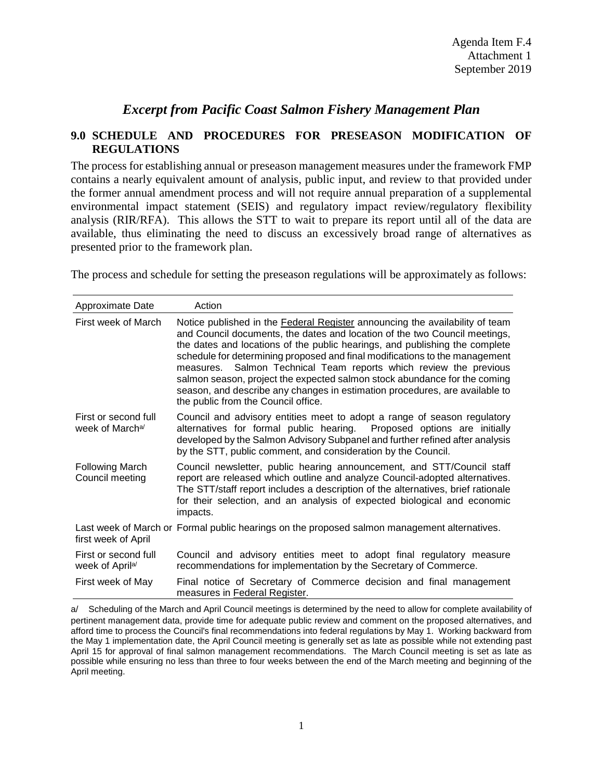## *Excerpt from Pacific Coast Salmon Fishery Management Plan*

## **9.0 SCHEDULE AND PROCEDURES FOR PRESEASON MODIFICATION OF REGULATIONS**

The process for establishing annual or preseason management measures under the framework FMP contains a nearly equivalent amount of analysis, public input, and review to that provided under the former annual amendment process and will not require annual preparation of a supplemental environmental impact statement (SEIS) and regulatory impact review/regulatory flexibility analysis (RIR/RFA). This allows the STT to wait to prepare its report until all of the data are available, thus eliminating the need to discuss an excessively broad range of alternatives as presented prior to the framework plan.

The process and schedule for setting the preseason regulations will be approximately as follows:

| Approximate Date                                    | Action                                                                                                                                                                                                                                                                                                                                                                                                                                                                                                                                                                                           |
|-----------------------------------------------------|--------------------------------------------------------------------------------------------------------------------------------------------------------------------------------------------------------------------------------------------------------------------------------------------------------------------------------------------------------------------------------------------------------------------------------------------------------------------------------------------------------------------------------------------------------------------------------------------------|
| First week of March                                 | Notice published in the Federal Register announcing the availability of team<br>and Council documents, the dates and location of the two Council meetings,<br>the dates and locations of the public hearings, and publishing the complete<br>schedule for determining proposed and final modifications to the management<br>measures. Salmon Technical Team reports which review the previous<br>salmon season, project the expected salmon stock abundance for the coming<br>season, and describe any changes in estimation procedures, are available to<br>the public from the Council office. |
| First or second full<br>week of March <sup>a/</sup> | Council and advisory entities meet to adopt a range of season regulatory<br>alternatives for formal public hearing.<br>Proposed options are initially<br>developed by the Salmon Advisory Subpanel and further refined after analysis<br>by the STT, public comment, and consideration by the Council.                                                                                                                                                                                                                                                                                           |
| Following March<br>Council meeting                  | Council newsletter, public hearing announcement, and STT/Council staff<br>report are released which outline and analyze Council-adopted alternatives.<br>The STT/staff report includes a description of the alternatives, brief rationale<br>for their selection, and an analysis of expected biological and economic<br>impacts.                                                                                                                                                                                                                                                                |
| first week of April                                 | Last week of March or Formal public hearings on the proposed salmon management alternatives.                                                                                                                                                                                                                                                                                                                                                                                                                                                                                                     |
| First or second full<br>week of April <sup>a/</sup> | Council and advisory entities meet to adopt final regulatory measure<br>recommendations for implementation by the Secretary of Commerce.                                                                                                                                                                                                                                                                                                                                                                                                                                                         |
| First week of May                                   | Final notice of Secretary of Commerce decision and final management<br>measures in Federal Register.                                                                                                                                                                                                                                                                                                                                                                                                                                                                                             |

a/ Scheduling of the March and April Council meetings is determined by the need to allow for complete availability of pertinent management data, provide time for adequate public review and comment on the proposed alternatives, and afford time to process the Council's final recommendations into federal regulations by May 1. Working backward from the May 1 implementation date, the April Council meeting is generally set as late as possible while not extending past April 15 for approval of final salmon management recommendations. The March Council meeting is set as late as possible while ensuring no less than three to four weeks between the end of the March meeting and beginning of the April meeting.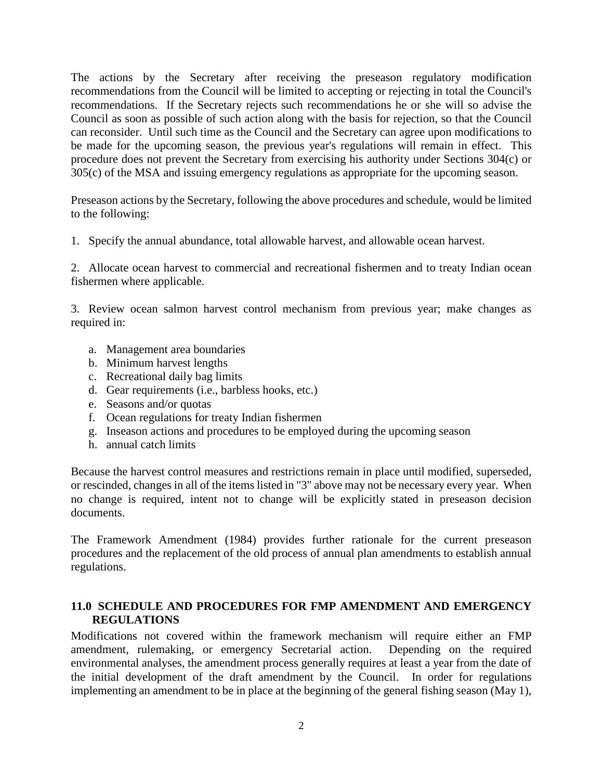The actions by the Secretary after receiving the preseason regulatory modification recommendations from the Council will be limited to accepting or rejecting in total the Council's recommendations. If the Secretary rejects such recommendations he or she will so advise the Council as soon as possible of such action along with the basis for rejection, so that the Council can reconsider. Until such time as the Council and the Secretary can agree upon modifications to be made for the upcoming season, the previous year's regulations will remain in effect. This procedure does not prevent the Secretary from exercising his authority under Sections 304(c) or 305(c) of the MSA and issuing emergency regulations as appropriate for the upcoming season.

Preseason actions by the Secretary, following the above procedures and schedule, would be limited to the following:

1. Specify the annual abundance, total allowable harvest, and allowable ocean harvest.

2. Allocate ocean harvest to commercial and recreational fishermen and to treaty Indian ocean fishermen where applicable.

3. Review ocean salmon harvest control mechanism from previous year; make changes as required in:

- a. Management area boundaries
- b. Minimum harvest lengths
- c. Recreational daily bag limits
- d. Gear requirements (i.e., barbless hooks, etc.)
- e. Seasons and/or quotas
- f. Ocean regulations for treaty Indian fishermen
- g. Inseason actions and procedures to be employed during the upcoming season
- h. annual catch limits

Because the harvest control measures and restrictions remain in place until modified, superseded, or rescinded, changes in all of the items listed in "3" above may not be necessary every year. When no change is required, intent not to change will be explicitly stated in preseason decision documents.

The Framework Amendment (1984) provides further rationale for the current preseason procedures and the replacement of the old process of annual plan amendments to establish annual regulations.

## **11.0 SCHEDULE AND PROCEDURES FOR FMP AMENDMENT AND EMERGENCY REGULATIONS**

Modifications not covered within the framework mechanism will require either an FMP amendment, rulemaking, or emergency Secretarial action. Depending on the required environmental analyses, the amendment process generally requires at least a year from the date of the initial development of the draft amendment by the Council. In order for regulations implementing an amendment to be in place at the beginning of the general fishing season (May 1),